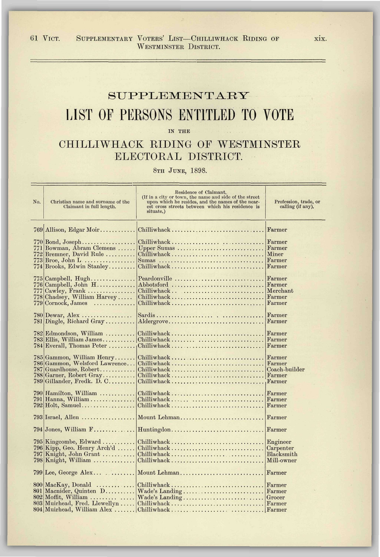61 VICT. SUPPLEMENTARY VOTERS' LIST-CHILLIWHACK RIDING OF xix. WESTMINSTER DISTRICT.

## SUPPLEMENTARY LIST OF PERSONS ENTITLED TO VOTE

IN THE

## CHILLIWHACK RIDING OF WESTMINSTER ELECTORAL DISTRICT.

8TH JUNE, 1898.

| No. | Christian name and surname of the<br>Claimant in full length.   | Residence of Claimant.<br>(If in a city or town, the name and side of the street<br>upon which he resides, and the names of the near-<br>est cross streets between which his residence is<br>situate.) | Profession, trade, or<br>calling (if any). |
|-----|-----------------------------------------------------------------|--------------------------------------------------------------------------------------------------------------------------------------------------------------------------------------------------------|--------------------------------------------|
|     | 769 Allison, Edgar Moir                                         | Chilliwhack                                                                                                                                                                                            | Farmer                                     |
|     | $770 \text{Bond},\text{Joseph}\dots\dots\dots\dots\dots\dots$   |                                                                                                                                                                                                        | Farmer                                     |
|     | 771 Bowman, Abram Clemens                                       | Upper Sumas                                                                                                                                                                                            | Farmer                                     |
|     | 772 Bremner, David Rule                                         | $Chilliwhack \ldots \ldots \ldots \ldots \ldots \ldots \ldots \ldots \ldots$                                                                                                                           | Miner                                      |
|     | $773$ Broe, John L                                              | Sumas                                                                                                                                                                                                  | Farmer                                     |
|     | 774 Brooks, Edwin Stanley                                       |                                                                                                                                                                                                        | Farmer                                     |
|     |                                                                 |                                                                                                                                                                                                        |                                            |
|     | $775$ Campbell, Hugh                                            | Peardonville                                                                                                                                                                                           | Farmer                                     |
|     | $776$ Campbell, John $H$                                        | Abbotsford                                                                                                                                                                                             | Farmer                                     |
|     | $777$ Cawley, Frank                                             | $Chilliwhack$                                                                                                                                                                                          | Merchant                                   |
|     | 778 Chadsey, William Harvey                                     | $Chilliwhack \ldots \ldots \ldots \ldots \ldots \ldots \ldots \ldots$                                                                                                                                  | Farmer                                     |
|     | 779 Cornock, James<br>.                                         |                                                                                                                                                                                                        | Farmer                                     |
|     |                                                                 |                                                                                                                                                                                                        |                                            |
| 780 | Dewar, Alex                                                     |                                                                                                                                                                                                        | Farmer                                     |
|     | $781$ Dingle, Richard Gray                                      | Aldergrove                                                                                                                                                                                             | Farmer                                     |
|     |                                                                 |                                                                                                                                                                                                        |                                            |
|     | 782 Edmondson, William                                          | $ Chilliwhack \dots \dots \dots \dots \dots \dots \dots \dots \dots \dots$                                                                                                                             | Farmer                                     |
|     | $783$ Ellis, William James                                      | Chilliwhack                                                                                                                                                                                            | Farmer                                     |
|     | 784 Everall, Thomas Peter                                       | $\cdot$ Chilliwhack                                                                                                                                                                                    | Farmer                                     |
|     |                                                                 |                                                                                                                                                                                                        |                                            |
|     | 785 Gammon, William Henry                                       | Chilliwhack                                                                                                                                                                                            | Farmer                                     |
|     | 786 Gammon, Welsford Lawrence                                   | Chilliwhack                                                                                                                                                                                            | Farmer                                     |
|     | $787$  Guardhouse, Robert                                       | $Chilliwhack \ldots \ldots \ldots \ldots \ldots \ldots \ldots \ldots \ldots$                                                                                                                           | Coach-builder                              |
|     | 788 Garner, Robert Gray                                         | Chilliwhack                                                                                                                                                                                            | $  \mathbf{F}$ armer                       |
|     | 789 Gillander, Fredk. D. C                                      | $Chilliwhack \ldots \ldots \ldots \ldots \ldots \ldots \ldots \ldots$                                                                                                                                  | Farmer                                     |
|     |                                                                 |                                                                                                                                                                                                        |                                            |
|     | 790 Hamilton, William                                           | $Chilliwhack \ldots \ldots \ldots \ldots \ldots \ldots \ldots$                                                                                                                                         | Farmer                                     |
|     | $791$  Hanna, William                                           | $Chilliwhack \ldots \ldots \ldots \ldots \ldots \ldots \ldots$                                                                                                                                         | Farmer                                     |
|     | $792 \text{Holt}, \text{ Samuel}.\dots \dots \dots \dots \dots$ | $Chilliwhack \ldots \ldots \ldots \ldots \ldots \ldots \ldots \ldots$                                                                                                                                  | Farmer                                     |
|     |                                                                 |                                                                                                                                                                                                        |                                            |
|     | $793$ Israel, Allen                                             | Mount Lehman                                                                                                                                                                                           | Farmer                                     |
|     |                                                                 |                                                                                                                                                                                                        |                                            |
|     | $794$ Jones, William $F$                                        | Huntingdon                                                                                                                                                                                             | Farmer                                     |
|     |                                                                 |                                                                                                                                                                                                        |                                            |
|     | $795$ Kingcombe, Edward                                         | Chilliwhack                                                                                                                                                                                            | Engineer                                   |
|     | $796$ Kipp, Geo. Henry Arch'd                                   |                                                                                                                                                                                                        | Carpenter                                  |
|     | 797 Knight, John Grant                                          | $Chilliwhack \ldots \ldots \ldots \ldots \ldots \ldots \ldots$                                                                                                                                         | Blacksmith                                 |
|     | 798 Knight, William                                             | Chilliwhack                                                                                                                                                                                            | Mill-owner                                 |
|     |                                                                 |                                                                                                                                                                                                        |                                            |
|     | $799$ Lee, George Alex                                          | Mount Lehman                                                                                                                                                                                           | Farmer                                     |
|     |                                                                 |                                                                                                                                                                                                        |                                            |
|     | $800 \text{  } \text{MacKay}, \text{ Donald} \dots \dots \dots$ | $Chilliwhack \ldots \ldots \ldots \ldots \ldots \ldots \ldots \ldots$                                                                                                                                  | Farmer                                     |
|     | 801 Macnider, Quinten D                                         | Wade's Landing                                                                                                                                                                                         | Farmer                                     |
|     | $802$ Moffit, William                                           | Wade's Landing                                                                                                                                                                                         | Grocer                                     |
|     | 803 Muirhead, Fred. Llewellyn                                   |                                                                                                                                                                                                        |                                            |
|     | 804 Muirhead, William Alex                                      |                                                                                                                                                                                                        |                                            |